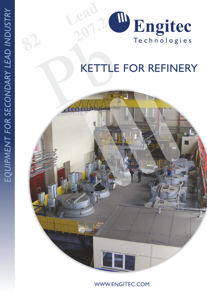

## KETTLE FOR REFINERY